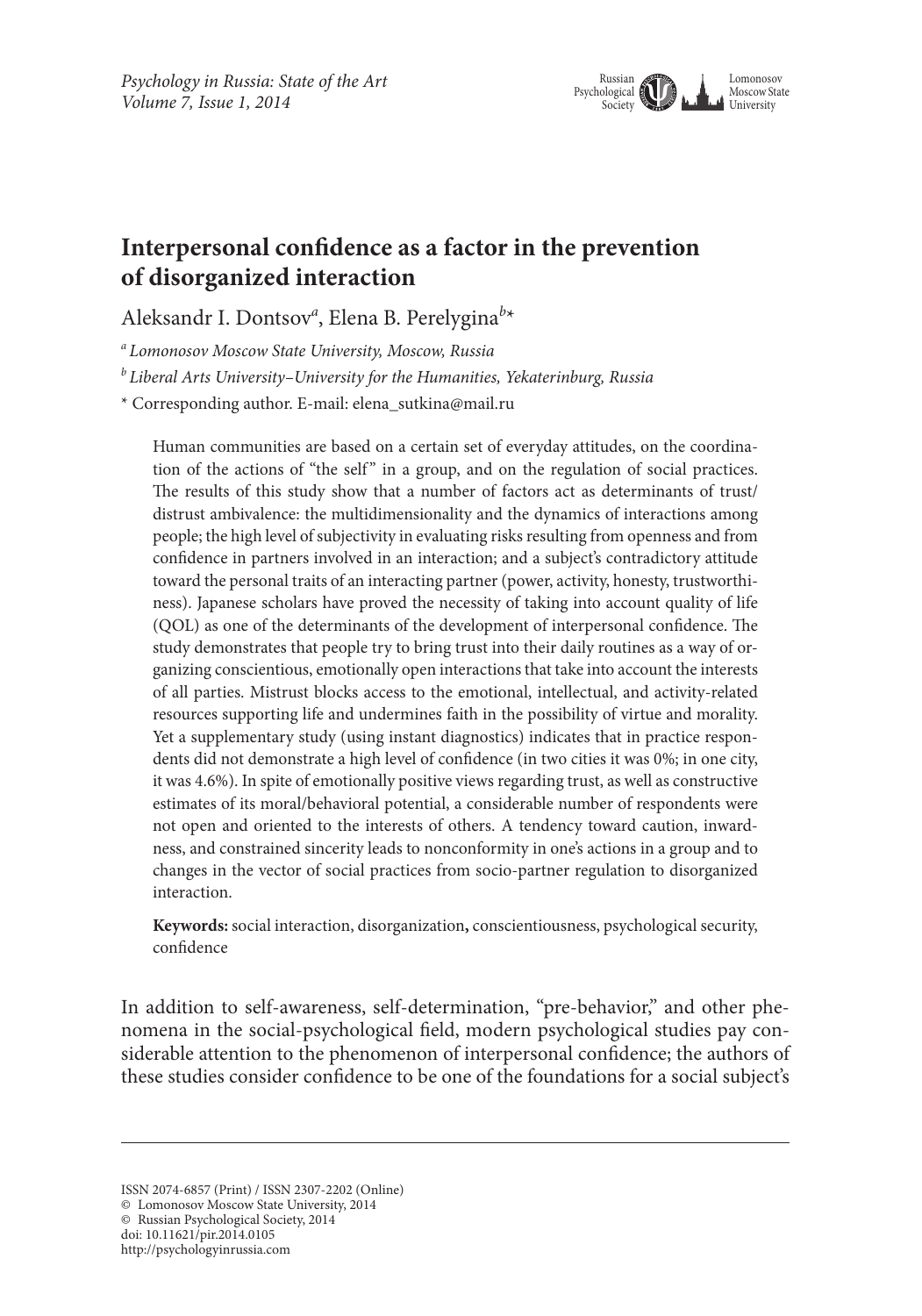

## **Interpersonal confidence as a factor in the prevention of disorganized interaction**

Aleksandr I. Dontsov*<sup>a</sup>* , Elena B. Perelygina*<sup>b</sup>* \*

*a Lomonosov Moscow State University, Moscow, Russia*

*b Liberal Arts University–University for the Humanities, Yekaterinburg, Russia*

\* Corresponding author. E-mail: elena\_sutkina@mail.ru

Human communities are based on a certain set of everyday attitudes, on the coordination of the actions of "the self" in a group, and on the regulation of social practices. The results of this study show that a number of factors act as determinants of trust/ distrust ambivalence: the multidimensionality and the dynamics of interactions among people; the high level of subjectivity in evaluating risks resulting from openness and from confidence in partners involved in an interaction; and a subject's contradictory attitude toward the personal traits of an interacting partner (power, activity, honesty, trustworthiness). Japanese scholars have proved the necessity of taking into account quality of life (QOL) as one of the determinants of the development of interpersonal confidence. The study demonstrates that people try to bring trust into their daily routines as a way of organizing conscientious, emotionally open interactions that take into account the interests of all parties. Mistrust blocks access to the emotional, intellectual, and activity-related resources supporting life and undermines faith in the possibility of virtue and morality. Yet a supplementary study (using instant diagnostics) indicates that in practice respondents did not demonstrate a high level of confidence (in two cities it was 0%; in one city, it was 4.6%). In spite of emotionally positive views regarding trust, as well as constructive estimates of its moral/behavioral potential, a considerable number of respondents were not open and oriented to the interests of others. A tendency toward caution, inwardness, and constrained sincerity leads to nonconformity in one's actions in a group and to changes in the vector of social practices from socio-partner regulation to disorganized interaction.

**Keywords:** social interaction, disorganization**,** conscientiousness, psychological security, confidence

In addition to self-awareness, self-determination, "pre-behavior," and other phenomena in the social-psychological field, modern psychological studies pay considerable attention to the phenomenon of interpersonal confidence; the authors of these studies consider confidence to be one of the foundations for a social subject's

© Russian Psychological Society, 2014 doi: 10.11621/pir.2014.0105

ISSN 2074-6857 (Print) / ISSN 2307-2202 (Online)

<sup>©</sup> Lomonosov Moscow State University, 2014

http://psychologyinrussia.com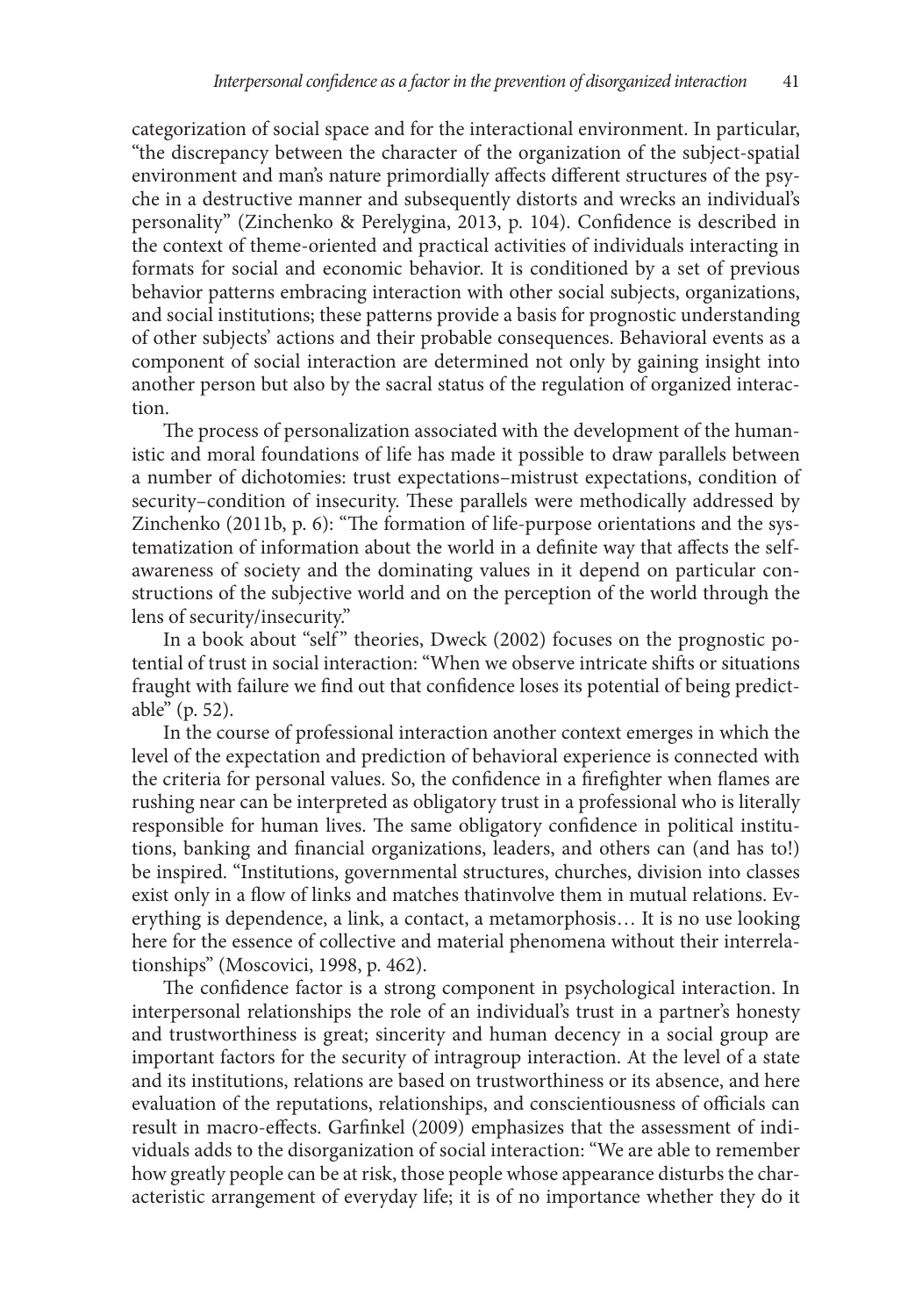categorization of social space and for the interactional environment. In particular, "the discrepancy between the character of the organization of the subject-spatial environment and man's nature primordially affects different structures of the psyche in a destructive manner and subsequently distorts and wrecks an individual's personality" (Zinchenko & Perelygina, 2013, p. 104). Confidence is described in the context of theme-oriented and practical activities of individuals interacting in formats for social and economic behavior. It is conditioned by a set of previous behavior patterns embracing interaction with other social subjects, organizations, and social institutions; these patterns provide a basis for prognostic understanding of other subjects' actions and their probable consequences. Behavioral events as a component of social interaction are determined not only by gaining insight into another person but also by the sacral status of the regulation of organized interaction.

The process of personalization associated with the development of the humanistic and moral foundations of life has made it possible to draw parallels between a number of dichotomies: trust expectations–mistrust expectations, condition of security–condition of insecurity. These parallels were methodically addressed by Zinchenko (2011b, p. 6): "The formation of life-purpose orientations and the systematization of information about the world in a definite way that affects the selfawareness of society and the dominating values in it depend on particular constructions of the subjective world and on the perception of the world through the lens of security/insecurity."

In a book about "self" theories, Dweck (2002) focuses on the prognostic potential of trust in social interaction: "When we observe intricate shifts or situations fraught with failure we find out that confidence loses its potential of being predictable" (p. 52).

In the course of professional interaction another context emerges in which the level of the expectation and prediction of behavioral experience is connected with the criteria for personal values. So, the confidence in a firefighter when flames are rushing near can be interpreted as obligatory trust in a professional who is literally responsible for human lives. The same obligatory confidence in political institutions, banking and financial organizations, leaders, and others can (and has to!) be inspired. "Institutions, governmental structures, churches, division into classes exist only in a flow of links and matches thatinvolve them in mutual relations. Everything is dependence, a link, a contact, a metamorphosis… It is no use looking here for the essence of collective and material phenomena without their interrelationships" (Moscovici, 1998, p. 462).

The confidence factor is a strong component in psychological interaction. In interpersonal relationships the role of an individual's trust in a partner's honesty and trustworthiness is great; sincerity and human decency in a social group are important factors for the security of intragroup interaction. At the level of a state and its institutions, relations are based on trustworthiness or its absence, and here evaluation of the reputations, relationships, and conscientiousness of officials can result in macro-effects. Garfinkel (2009) emphasizes that the assessment of individuals adds to the disorganization of social interaction: "We are able to remember how greatly people can be at risk, those people whose appearance disturbs the characteristic arrangement of everyday life; it is of no importance whether they do it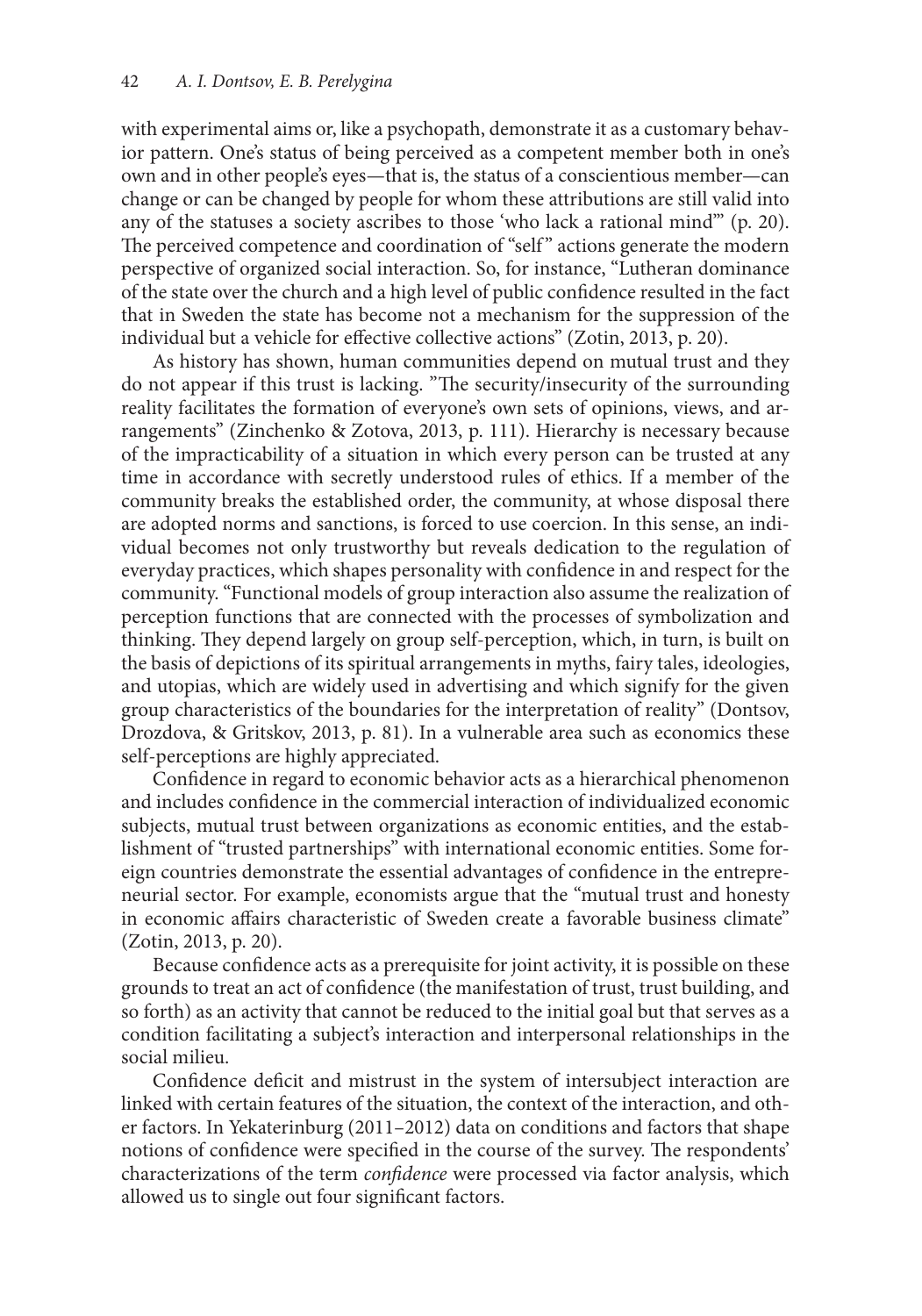with experimental aims or, like a psychopath, demonstrate it as a customary behavior pattern. One's status of being perceived as a competent member both in one's own and in other people's eyes—that is, the status of a conscientious member—can change or can be changed by people for whom these attributions are still valid into any of the statuses a society ascribes to those 'who lack a rational mind'" (p. 20). The perceived competence and coordination of "self" actions generate the modern perspective of organized social interaction. So, for instance, "Lutheran dominance of the state over the church and a high level of public confidence resulted in the fact that in Sweden the state has become not a mechanism for the suppression of the individual but a vehicle for effective collective actions" (Zotin, 2013, p. 20).

As history has shown, human communities depend on mutual trust and they do not appear if this trust is lacking. "The security/insecurity of the surrounding reality facilitates the formation of everyone's own sets of opinions, views, and arrangements" (Zinchenko & Zotova, 2013, p. 111). Hierarchy is necessary because of the impracticability of a situation in which every person can be trusted at any time in accordance with secretly understood rules of ethics. If a member of the community breaks the established order, the community, at whose disposal there are adopted norms and sanctions, is forced to use coercion. In this sense, an individual becomes not only trustworthy but reveals dedication to the regulation of everyday practices, which shapes personality with confidence in and respect for the community. "Functional models of group interaction also assume the realization of perception functions that are connected with the processes of symbolization and thinking. They depend largely on group self-perception, which, in turn, is built on the basis of depictions of its spiritual arrangements in myths, fairy tales, ideologies, and utopias, which are widely used in advertising and which signify for the given group characteristics of the boundaries for the interpretation of reality" (Dontsov, Drozdova, & Gritskov, 2013, p. 81). In a vulnerable area such as economics these self-perceptions are highly appreciated.

Confidence in regard to economic behavior acts as a hierarchical phenomenon and includes confidence in the commercial interaction of individualized economic subjects, mutual trust between organizations as economic entities, and the establishment of "trusted partnerships" with international economic entities. Some foreign countries demonstrate the essential advantages of confidence in the entrepreneurial sector. For example, economists argue that the "mutual trust and honesty in economic affairs characteristic of Sweden create a favorable business climate" (Zotin, 2013, p. 20).

Because confidence acts as a prerequisite for joint activity, it is possible on these grounds to treat an act of confidence (the manifestation of trust, trust building, and so forth) as an activity that cannot be reduced to the initial goal but that serves as a condition facilitating a subject's interaction and interpersonal relationships in the social milieu.

Confidence deficit and mistrust in the system of intersubject interaction are linked with certain features of the situation, the context of the interaction, and other factors. In Yekaterinburg (2011–2012) data on conditions and factors that shape notions of confidence were specified in the course of the survey. The respondents' characterizations of the term *confidence* were processed via factor analysis, which allowed us to single out four significant factors.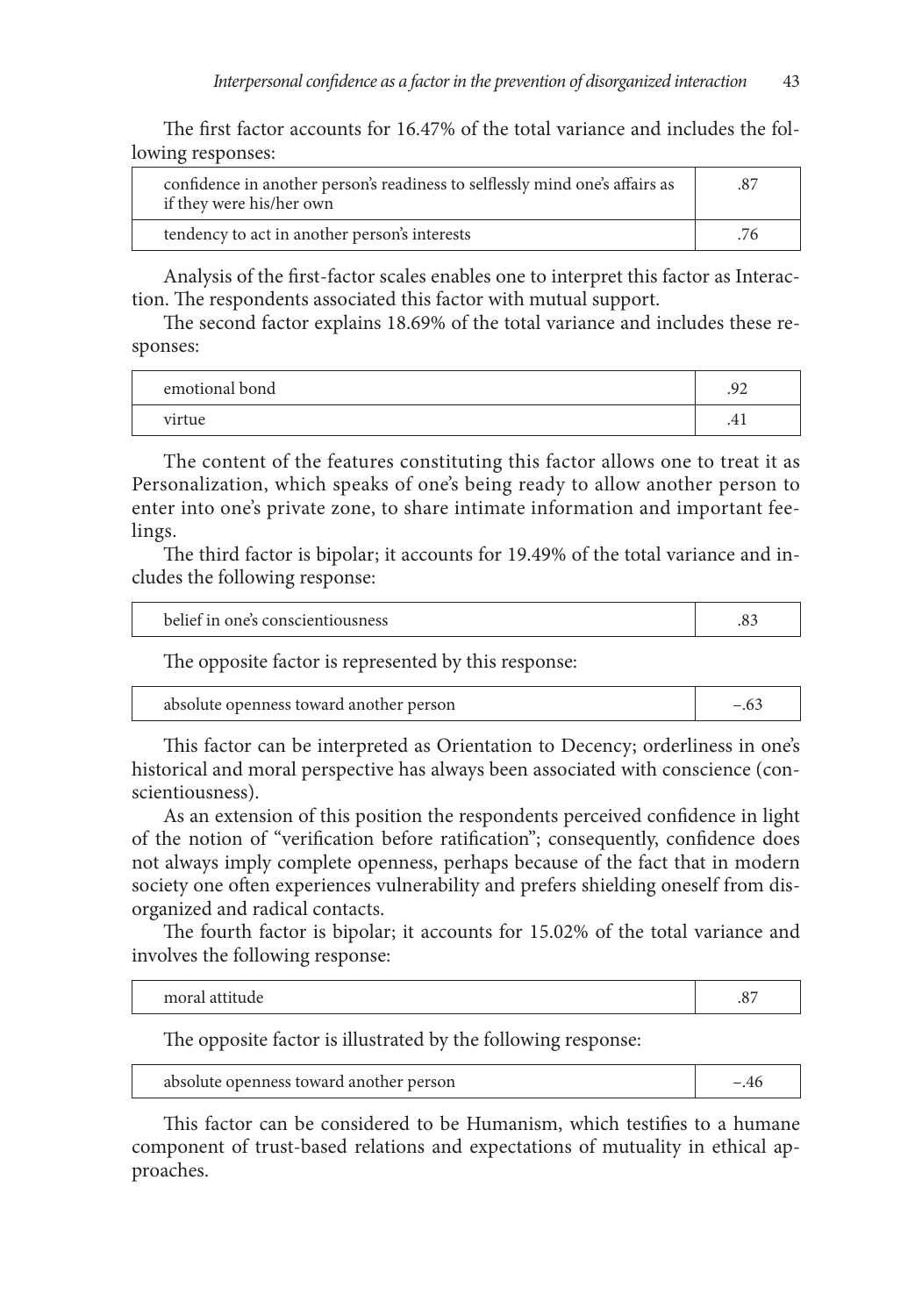The first factor accounts for 16.47% of the total variance and includes the following responses:

| confidence in another person's readiness to selflessly mind one's affairs as<br>if they were his/her own | .87 |
|----------------------------------------------------------------------------------------------------------|-----|
| tendency to act in another person's interests                                                            |     |

Analysis of the first-factor scales enables one to interpret this factor as Interaction. The respondents associated this factor with mutual support.

The second factor explains 18.69% of the total variance and includes these responses:

| emotional bond |  |
|----------------|--|
| virtue         |  |

The content of the features constituting this factor allows one to treat it as Personalization, which speaks of one's being ready to allow another person to enter into one's private zone, to share intimate information and important feelings.

The third factor is bipolar; it accounts for 19.49% of the total variance and includes the following response:

| belief in one's conscientiousness |  |
|-----------------------------------|--|
|-----------------------------------|--|

The opposite factor is represented by this response:

| absolute openness toward another person | $-.63$ |
|-----------------------------------------|--------|
|-----------------------------------------|--------|

This factor can be interpreted as Orientation to Decency; orderliness in one's historical and moral perspective has always been associated with conscience (conscientiousness).

As an extension of this position the respondents perceived confidence in light of the notion of "verification before ratification"; consequently, confidence does not always imply complete openness, perhaps because of the fact that in modern society one often experiences vulnerability and prefers shielding oneself from disorganized and radical contacts.

The fourth factor is bipolar; it accounts for 15.02% of the total variance and involves the following response:

| ---<br>. |  |
|----------|--|
|          |  |

The opposite factor is illustrated by the following response:

| absolute openness toward another person | $-.46$ |
|-----------------------------------------|--------|
|-----------------------------------------|--------|

This factor can be considered to be Humanism, which testifies to a humane component of trust-based relations and expectations of mutuality in ethical approaches.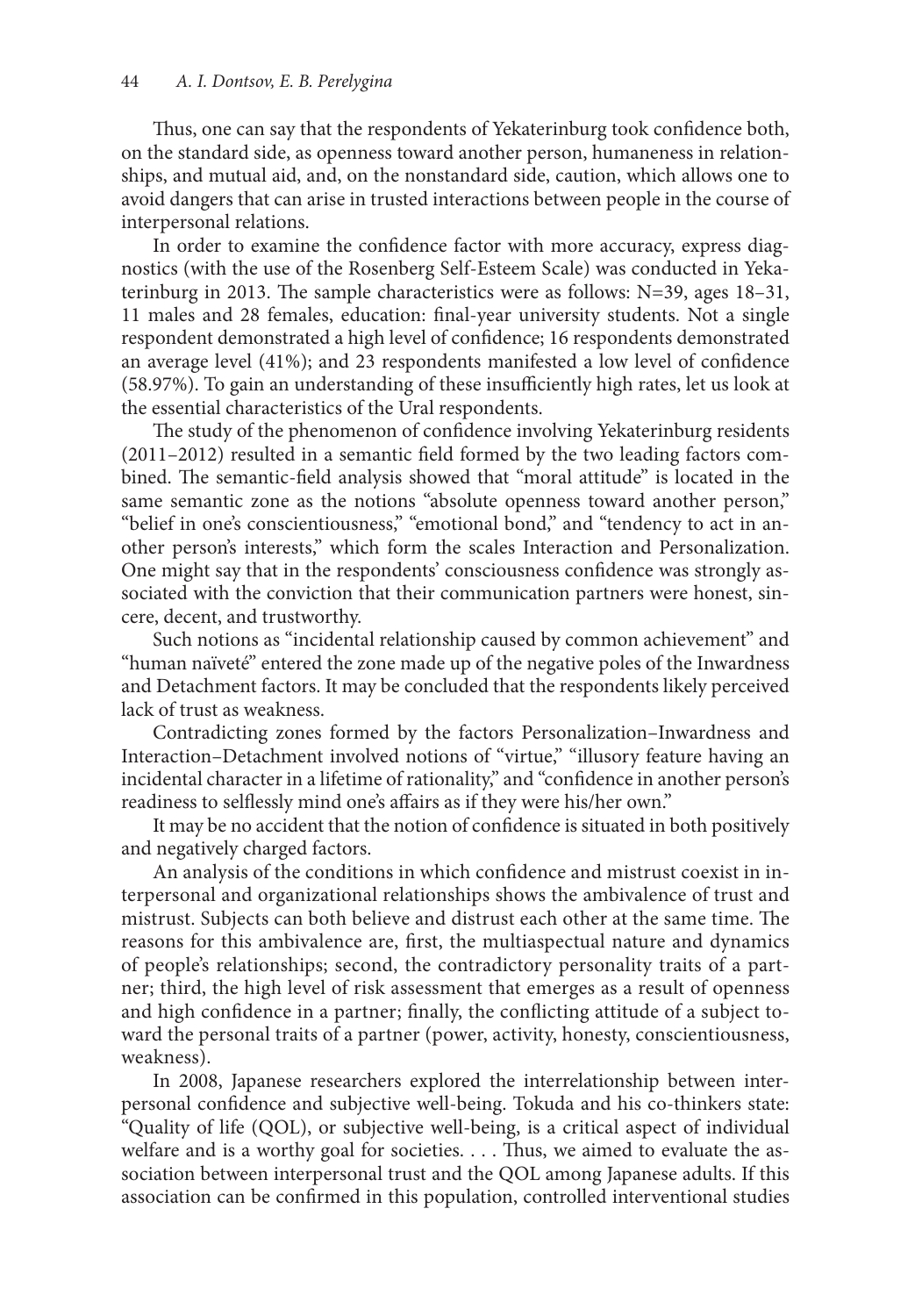Thus, one can say that the respondents of Yekaterinburg took confidence both, on the standard side, as openness toward another person, humaneness in relationships, and mutual aid, and, on the nonstandard side, caution, which allows one to avoid dangers that can arise in trusted interactions between people in the course of interpersonal relations.

In order to examine the confidence factor with more accuracy, express diagnostics (with the use of the Rosenberg Self-Esteem Scale) was conducted in Yekaterinburg in 2013. The sample characteristics were as follows: N=39, ages 18–31, 11 males and 28 females, education: final-year university students. Not a single respondent demonstrated a high level of confidence; 16 respondents demonstrated an average level (41%); and 23 respondents manifested a low level of confidence (58.97%). To gain an understanding of these insufficiently high rates, let us look at the essential characteristics of the Ural respondents.

The study of the phenomenon of confidence involving Yekaterinburg residents (2011–2012) resulted in a semantic field formed by the two leading factors combined. The semantic-field analysis showed that "moral attitude" is located in the same semantic zone as the notions "absolute openness toward another person," "belief in one's conscientiousness," "emotional bond," and "tendency to act in another person's interests," which form the scales Interaction and Personalization. One might say that in the respondents' consciousness confidence was strongly associated with the conviction that their communication partners were honest, sincere, decent, and trustworthy.

Such notions as "incidental relationship caused by common achievement" and "human naïveté" entered the zone made up of the negative poles of the Inwardness and Detachment factors. It may be concluded that the respondents likely perceived lack of trust as weakness.

Contradicting zones formed by the factors Personalization–Inwardness and Interaction–Detachment involved notions of "virtue," "illusory feature having an incidental character in a lifetime of rationality," and "confidence in another person's readiness to selflessly mind one's affairs as if they were his/her own."

It may be no accident that the notion of confidence is situated in both positively and negatively charged factors.

An analysis of the conditions in which confidence and mistrust coexist in interpersonal and organizational relationships shows the ambivalence of trust and mistrust. Subjects can both believe and distrust each other at the same time. The reasons for this ambivalence are, first, the multiaspectual nature and dynamics of people's relationships; second, the contradictory personality traits of a partner; third, the high level of risk assessment that emerges as a result of openness and high confidence in a partner; finally, the conflicting attitude of a subject toward the personal traits of a partner (power, activity, honesty, conscientiousness, weakness).

In 2008, Japanese researchers explored the interrelationship between interpersonal confidence and subjective well-being. Tokuda and his co-thinkers state: "Quality of life (QOL), or subjective well-being, is a critical aspect of individual welfare and is a worthy goal for societies. . . . Thus, we aimed to evaluate the association between interpersonal trust and the QOL among Japanese adults. If this association can be confirmed in this population, controlled interventional studies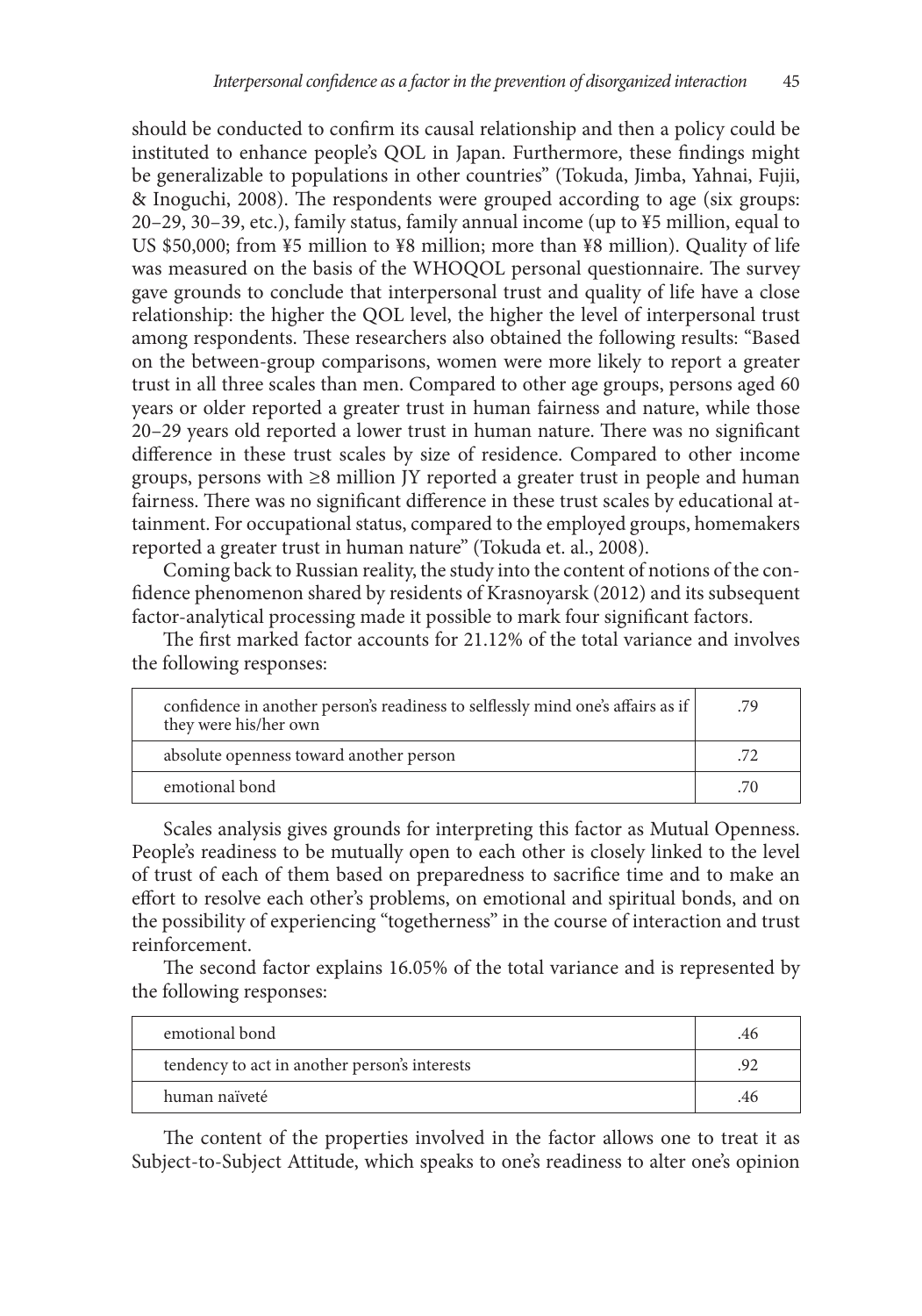should be conducted to confirm its causal relationship and then a policy could be instituted to enhance people's QOL in Japan. Furthermore, these findings might be generalizable to populations in other countries" (Tokuda, Jimba, Yahnai, Fujii, & Inoguchi, 2008). The respondents were grouped according to age (six groups: 20–29, 30–39, etc.), family status, family annual income (up to ¥5 million, equal to US \$50,000; from ¥5 million to ¥8 million; more than ¥8 million). Quality of life was measured on the basis of the WHOQOL personal questionnaire. The survey gave grounds to conclude that interpersonal trust and quality of life have a close relationship: the higher the QOL level, the higher the level of interpersonal trust among respondents. These researchers also obtained the following results: "Based on the between-group comparisons, women were more likely to report a greater trust in all three scales than men. Compared to other age groups, persons aged 60 years or older reported a greater trust in human fairness and nature, while those 20–29 years old reported a lower trust in human nature. There was no significant difference in these trust scales by size of residence. Compared to other income groups, persons with ≥8 million JY reported a greater trust in people and human fairness. There was no significant difference in these trust scales by educational attainment. For occupational status, compared to the employed groups, homemakers reported a greater trust in human nature" (Tokuda et. al., 2008).

Coming back to Russian reality, the study into the content of notions of the confidence phenomenon shared by residents of Krasnoyarsk (2012) and its subsequent factor-analytical processing made it possible to mark four significant factors.

The first marked factor accounts for 21.12% of the total variance and involves the following responses:

| confidence in another person's readiness to selflessly mind one's affairs as if<br>they were his/her own | 79 |
|----------------------------------------------------------------------------------------------------------|----|
| absolute openness toward another person                                                                  |    |
| emotional bond                                                                                           |    |

Scales analysis gives grounds for interpreting this factor as Mutual Openness. People's readiness to be mutually open to each other is closely linked to the level of trust of each of them based on preparedness to sacrifice time and to make an effort to resolve each other's problems, on emotional and spiritual bonds, and on the possibility of experiencing "togetherness" in the course of interaction and trust reinforcement.

The second factor explains 16.05% of the total variance and is represented by the following responses:

| emotional bond                                |  |
|-----------------------------------------------|--|
| tendency to act in another person's interests |  |
| human naïveté                                 |  |

The content of the properties involved in the factor allows one to treat it as Subject-to-Subject Attitude, which speaks to one's readiness to alter one's opinion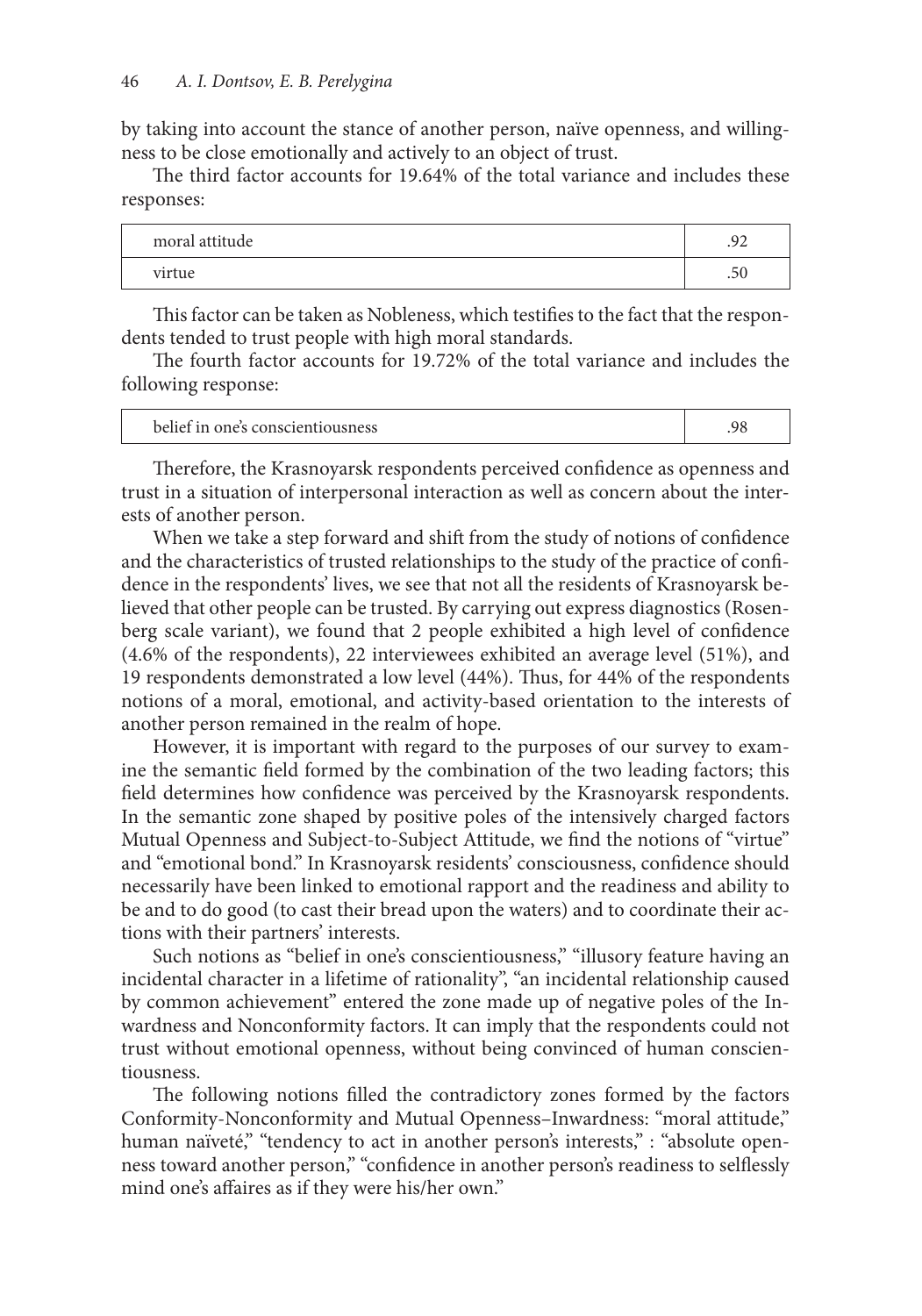by taking into account the stance of another person, naïve openness, and willingness to be close emotionally and actively to an object of trust.

The third factor accounts for 19.64% of the total variance and includes these responses:

| moral attitude |     |
|----------------|-----|
| virtue         | .50 |

This factor can be taken as Nobleness, which testifies to the fact that the respondents tended to trust people with high moral standards.

The fourth factor accounts for 19.72% of the total variance and includes the following response:

Therefore, the Krasnoyarsk respondents perceived confidence as openness and trust in a situation of interpersonal interaction as well as concern about the interests of another person.

When we take a step forward and shift from the study of notions of confidence and the characteristics of trusted relationships to the study of the practice of confidence in the respondents' lives, we see that not all the residents of Krasnoyarsk believed that other people can be trusted. By carrying out express diagnostics (Rosenberg scale variant), we found that 2 people exhibited a high level of confidence (4.6% of the respondents), 22 interviewees exhibited an average level (51%), and 19 respondents demonstrated a low level (44%). Thus, for 44% of the respondents notions of a moral, emotional, and activity-based orientation to the interests of another person remained in the realm of hope.

However, it is important with regard to the purposes of our survey to examine the semantic field formed by the combination of the two leading factors; this field determines how confidence was perceived by the Krasnoyarsk respondents. In the semantic zone shaped by positive poles of the intensively charged factors Mutual Openness and Subject-to-Subject Attitude, we find the notions of "virtue" and "emotional bond." In Krasnoyarsk residents' consciousness, confidence should necessarily have been linked to emotional rapport and the readiness and ability to be and to do good (to cast their bread upon the waters) and to coordinate their actions with their partners' interests.

Such notions as "belief in one's conscientiousness," "illusory feature having an incidental character in a lifetime of rationality", "an incidental relationship caused by common achievement" entered the zone made up of negative poles of the Inwardness and Nonconformity factors. It can imply that the respondents could not trust without emotional openness, without being convinced of human conscientiousness.

The following notions filled the contradictory zones formed by the factors Conformity-Nonconformity and Mutual Openness–Inwardness: "moral attitude," human naïveté," "tendency to act in another person's interests," : "absolute openness toward another person," "confidence in another person's readiness to selflessly mind one's affaires as if they were his/her own."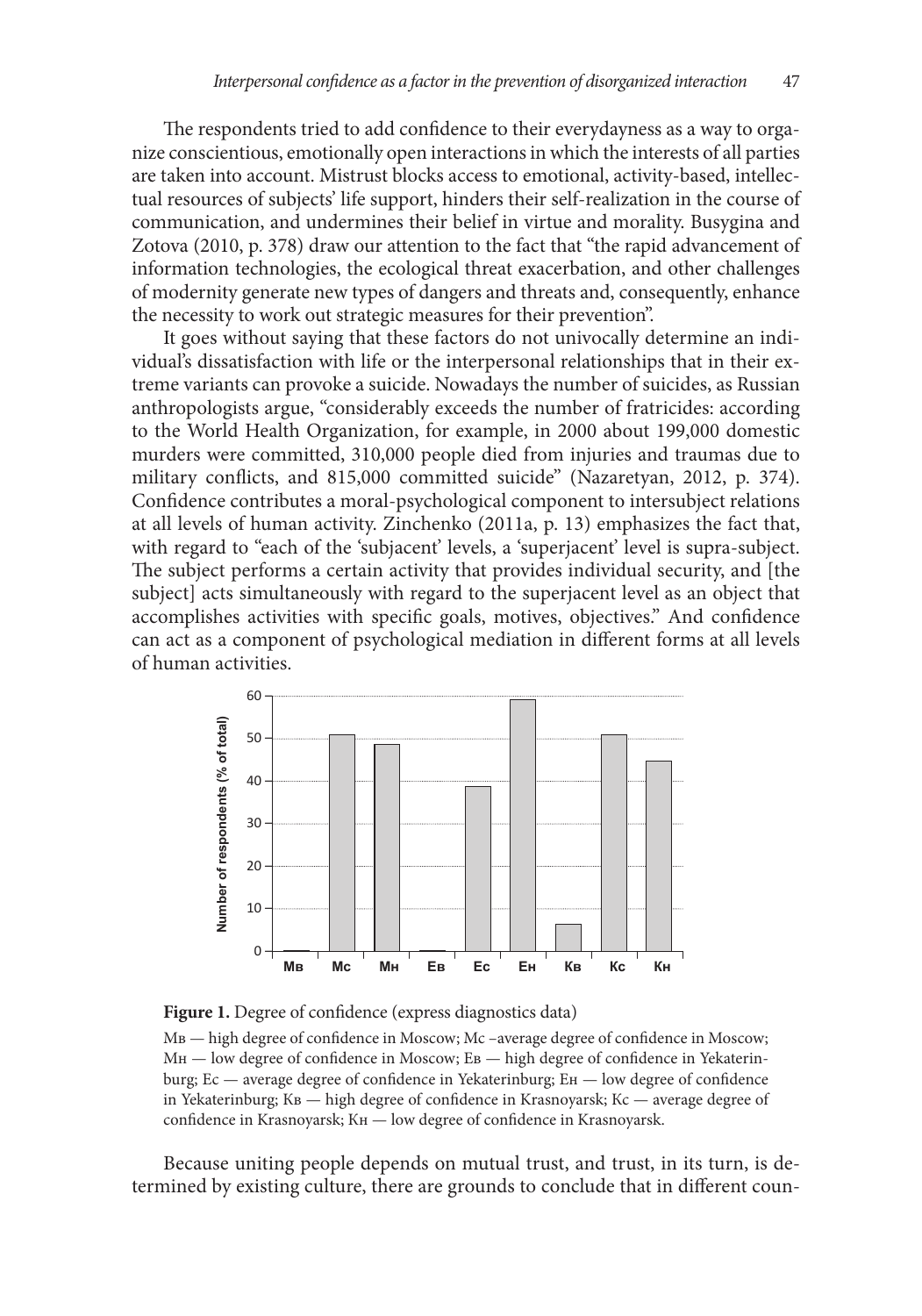The respondents tried to add confidence to their everydayness as a way to organize conscientious, emotionally open interactions in which the interests of all parties are taken into account. Mistrust blocks access to emotional, activity-based, intellectual resources of subjects' life support, hinders their self-realization in the course of communication, and undermines their belief in virtue and morality. Busygina and Zotova (2010, p. 378) draw our attention to the fact that "the rapid advancement of information technologies, the ecological threat exacerbation, and other challenges of modernity generate new types of dangers and threats and, consequently, enhance the necessity to work out strategic measures for their prevention".

It goes without saying that these factors do not univocally determine an individual's dissatisfaction with life or the interpersonal relationships that in their extreme variants can provoke a suicide. Nowadays the number of suicides, as Russian anthropologists argue, "considerably exceeds the number of fratricides: according to the World Health Organization, for example, in 2000 about 199,000 domestic murders were committed, 310,000 people died from injuries and traumas due to military conflicts, and 815,000 committed suicide" (Nazaretyan, 2012, p. 374). Confidence contributes a moral-psychological component to intersubject relations at all levels of human activity. Zinchenko (2011a, p. 13) emphasizes the fact that, with regard to "each of the 'subjacent' levels, a 'superjacent' level is supra-subject. The subject performs a certain activity that provides individual security, and [the subject] acts simultaneously with regard to the superjacent level as an object that accomplishes activities with specific goals, motives, objectives." And confidence can act as a component of psychological mediation in different forms at all levels of human activities.





Мв — high degree of confidence in Moscow; Мс –average degree of confidence in Moscow; Мн — low degree of confidence in Moscow; Ев — high degree of confidence in Yekaterinburg; Ес — average degree of confidence in Yekaterinburg; Ен — low degree of confidence in Yekaterinburg; Кв — high degree of confidence in Krasnoyarsk; Кс — average degree of confidence in Krasnoyarsk; Кн — low degree of confidence in Krasnoyarsk.

Because uniting people depends on mutual trust, and trust, in its turn, is determined by existing culture, there are grounds to conclude that in different coun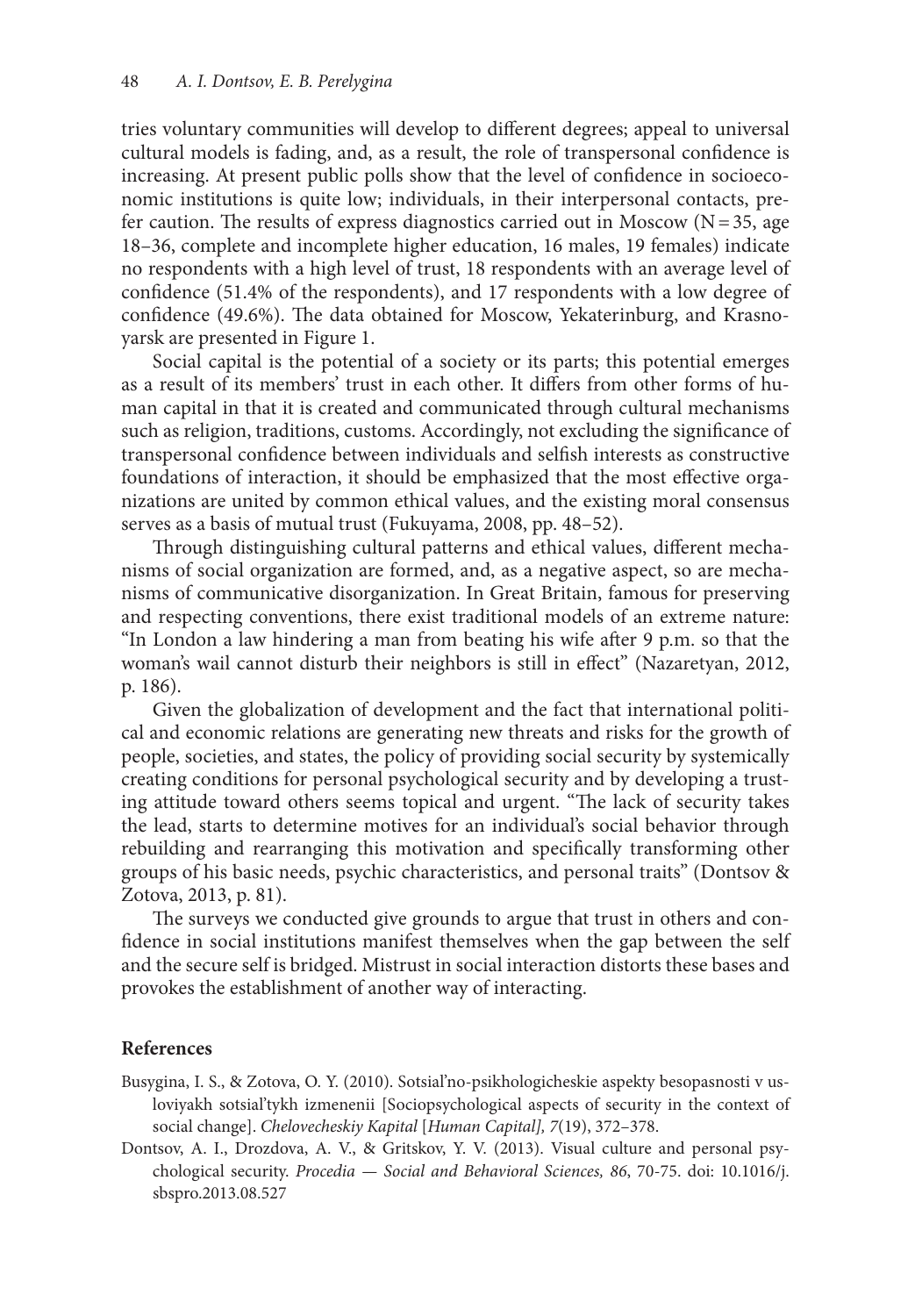tries voluntary communities will develop to different degrees; appeal to universal cultural models is fading, and, as a result, the role of transpersonal confidence is increasing. At present public polls show that the level of confidence in socioeconomic institutions is quite low; individuals, in their interpersonal contacts, prefer caution. The results of express diagnostics carried out in Moscow ( $N=35$ , age 18–36, complete and incomplete higher education, 16 males, 19 females) indicate no respondents with a high level of trust, 18 respondents with an average level of confidence (51.4% of the respondents), and 17 respondents with a low degree of confidence (49.6%). The data obtained for Moscow, Yekaterinburg, and Krasnoyarsk are presented in Figure 1.

Social capital is the potential of a society or its parts; this potential emerges as a result of its members' trust in each other. It differs from other forms of human capital in that it is created and communicated through cultural mechanisms such as religion, traditions, customs. Accordingly, not excluding the significance of transpersonal confidence between individuals and selfish interests as constructive foundations of interaction, it should be emphasized that the most effective organizations are united by common ethical values, and the existing moral consensus serves as a basis of mutual trust (Fukuyama, 2008, pp. 48–52).

Through distinguishing cultural patterns and ethical values, different mechanisms of social organization are formed, and, as a negative aspect, so are mechanisms of communicative disorganization. In Great Britain, famous for preserving and respecting conventions, there exist traditional models of an extreme nature: "In London a law hindering a man from beating his wife after 9 p.m. so that the woman's wail cannot disturb their neighbors is still in effect" (Nazaretyan, 2012, p. 186).

Given the globalization of development and the fact that international political and economic relations are generating new threats and risks for the growth of people, societies, and states, the policy of providing social security by systemically creating conditions for personal psychological security and by developing a trusting attitude toward others seems topical and urgent. "The lack of security takes the lead, starts to determine motives for an individual's social behavior through rebuilding and rearranging this motivation and specifically transforming other groups of his basic needs, psychic characteristics, and personal traits" (Dontsov & Zotova, 2013, p. 81).

The surveys we conducted give grounds to argue that trust in others and confidence in social institutions manifest themselves when the gap between the self and the secure self is bridged. Mistrust in social interaction distorts these bases and provokes the establishment of another way of interacting.

## **References**

- Busygina, I. S., & Zotova, O. Y. (2010). Sotsial'no-psikhologicheskie aspekty besopasnosti v usloviyakh sotsial'tykh izmenenii [Sociopsychological aspects of security in the context of social change]. *Chelovecheskiy Kapital* [*Human Capital], 7*(19), 372–378.
- Dontsov, A. I., Drozdova, A. V., & Gritskov, Y. V. (2013). Visual culture and personal psychological security. *Procedia — Social and Behavioral Sciences, 86*, 70-75. doi: 10.1016/j. sbspro.2013.08.527